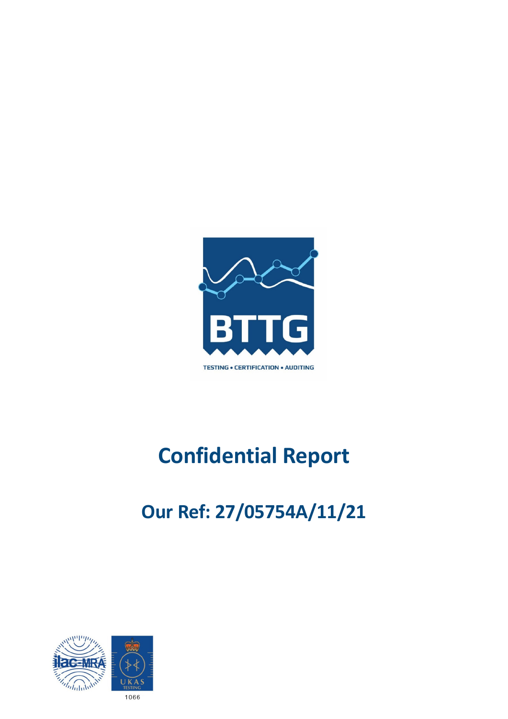

# **Confidential Report**

# **Our Ref: 27/05754A/11/21**

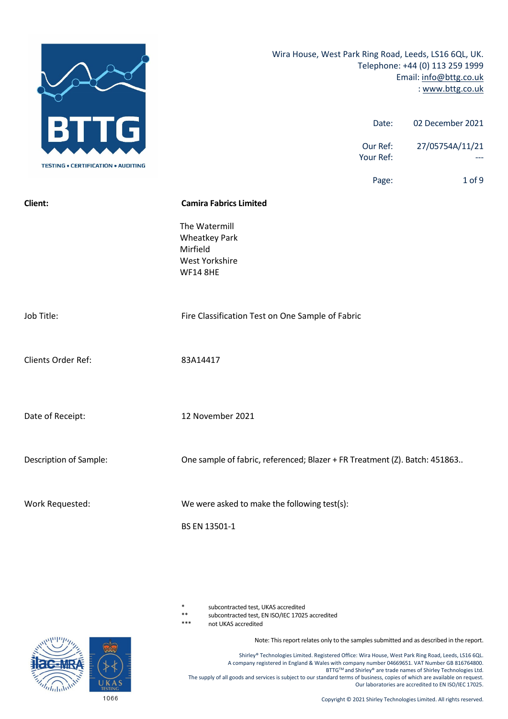

subcontracted test, UKAS accredited

\*\* subcontracted test, EN ISO/IEC 17025 accredited

not UKAS accredited

Note: This report relates only to the samples submitted and as described in the report.

Shirley® Technologies Limited. Registered Office: Wira House, West Park Ring Road, Leeds, LS16 6QL. A company registered in England & Wales with company number 04669651. VAT Number GB 816764800. **BTTG™ and Shirley® are trade names of Shirley Technologies Ltd.** The supply of all goods and services is subject to our standard terms of business, copies of which are available on request. Our laboratories are accredited to EN ISO/IEC 17025.



1066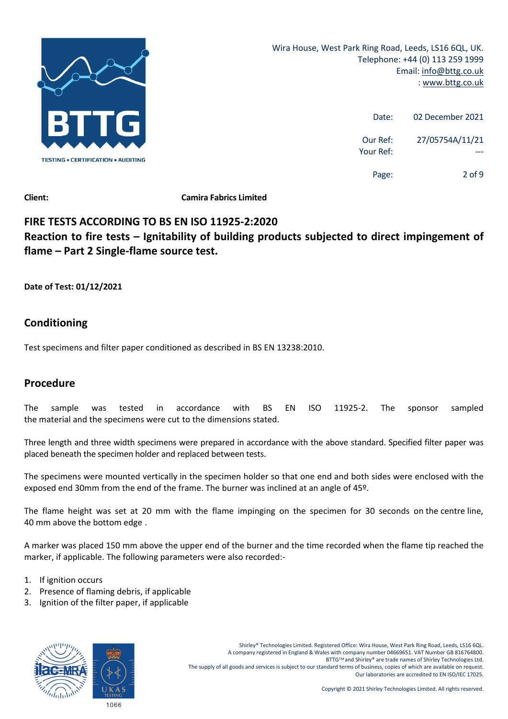

| 02 December 2021 | Date:                 |
|------------------|-----------------------|
| 27/05754A/11/21  | Our Ref:<br>Your Ref: |
| 2 of 9           | Page:                 |

# **FIRE TESTS ACCORDING TO BS EN ISO 11925‐2:2020 Reaction to fire tests – Ignitability of building products subjected to direct impingement of flame – Part 2 Single‐flame source test.**

**Date of Test: 01/12/2021**

# **Conditioning**

Test specimens and filter paper conditioned as described in BS EN 13238:2010.

# **Procedure**

The sample was tested in accordance with BS EN ISO 11925‐2. The sponsor sampled the material and the specimens were cut to the dimensions stated.

Three length and three width specimens were prepared in accordance with the above standard. Specified filter paper was placed beneath the specimen holder and replaced between tests.

The specimens were mounted vertically in the specimen holder so that one end and both sides were enclosed with the exposed end 30mm from the end of the frame. The burner was inclined at an angle of 45º.

The flame height was set at 20 mm with the flame impinging on the specimen for 30 seconds on the centre line, 40 mm above the bottom edge .

A marker was placed 150 mm above the upper end of the burner and the time recorded when the flame tip reached the marker, if applicable. The following parameters were also recorded:‐

- 1. If ignition occurs
- 2. Presence of flaming debris, if applicable
- 3. Ignition of the filter paper, if applicable

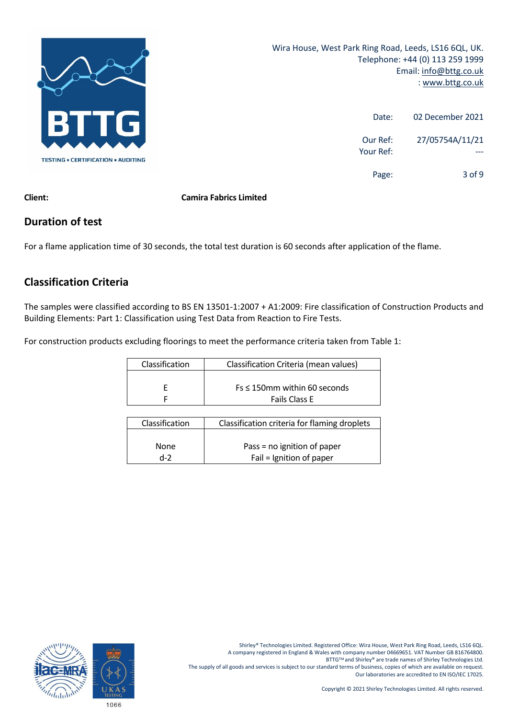

| 02 December 2021 | Date:                 |
|------------------|-----------------------|
| 27/05754A/11/21  | Our Ref:<br>Your Ref: |
| $3$ of 9         | Page:                 |

# **Duration of test**

For a flame application time of 30 seconds, the total test duration is 60 seconds after application of the flame.

# **Classification Criteria**

The samples were classified according to BS EN 13501‐1:2007 + A1:2009: Fire classification of Construction Products and Building Elements: Part 1: Classification using Test Data from Reaction to Fire Tests.

For construction products excluding floorings to meet the performance criteria taken from Table 1:

| Classification | Classification Criteria (mean values) |
|----------------|---------------------------------------|
|                |                                       |
|                | $Fs \leq 150$ mm within 60 seconds    |
|                | <b>Fails Class E</b>                  |

| Classification | Classification criteria for flaming droplets |
|----------------|----------------------------------------------|
|                |                                              |
|                |                                              |
|                |                                              |
| None           | Pass = no ignition of paper                  |
|                |                                              |
| $d-2$          | Fail = Ignition of paper                     |

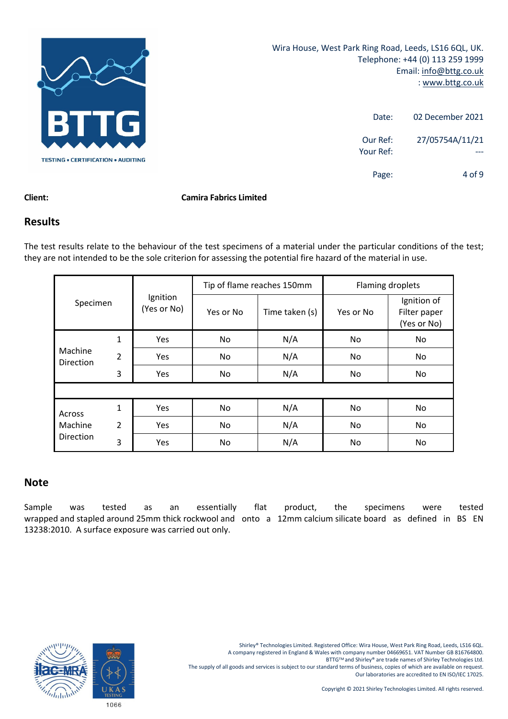

| 02 December 2021 | Date:                 |
|------------------|-----------------------|
| 27/05754A/11/21  | Our Ref:<br>Your Ref: |
| $4$ of 9         | Page:                 |

### **Results**

The test results relate to the behaviour of the test specimens of a material under the particular conditions of the test; they are not intended to be the sole criterion for assessing the potential fire hazard of the material in use.

|                             |                |                         | Tip of flame reaches 150mm |                | Flaming droplets |                                            |
|-----------------------------|----------------|-------------------------|----------------------------|----------------|------------------|--------------------------------------------|
| Specimen                    |                | Ignition<br>(Yes or No) | Yes or No                  | Time taken (s) | Yes or No        | Ignition of<br>Filter paper<br>(Yes or No) |
|                             | $\mathbf{1}$   | Yes                     | No                         | N/A            | No.              | No                                         |
| Machine<br><b>Direction</b> | $\overline{2}$ | Yes                     | No                         | N/A            | No.              | No.                                        |
|                             | 3              | Yes                     | No                         | N/A            | No.              | No                                         |
|                             |                |                         |                            |                |                  |                                            |
| Across                      | $\mathbf{1}$   | Yes                     | No                         | N/A            | No.              | No                                         |
| Machine                     | 2              | Yes                     | No                         | N/A            | No.              | No                                         |
| <b>Direction</b>            | 3              | Yes                     | No                         | N/A            | No               | No                                         |

## **Note**

Sample was tested as an essentially flat product, the specimens were tested wrapped and stapled around 25mm thick rockwool and onto a 12mm calcium silicate board as defined in BS EN 13238:2010. A surface exposure was carried out only.

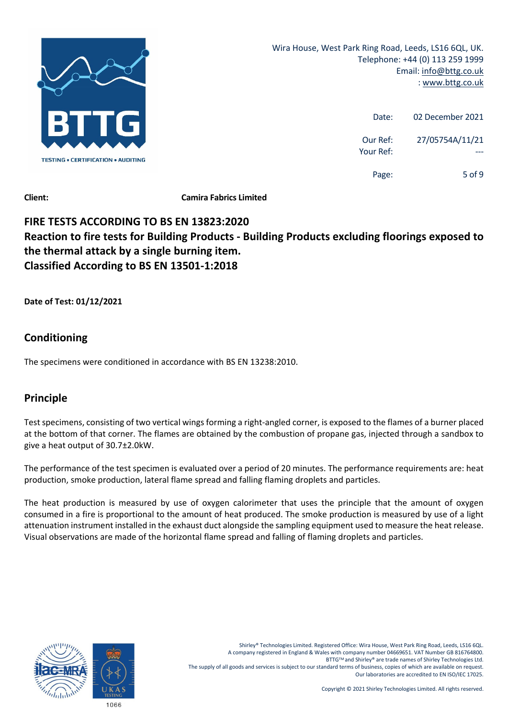

| 02 December 2021 | Date:                 |
|------------------|-----------------------|
| 27/05754A/11/21  | Our Ref:<br>Your Ref: |
| $5$ of 9         | Page:                 |

# **FIRE TESTS ACCORDING TO BS EN 13823:2020 Reaction to fire tests for Building Products ‐ Building Products excluding floorings exposed to the thermal attack by a single burning item. Classified According to BS EN 13501‐1:2018**

**Date of Test: 01/12/2021**

# **Conditioning**

The specimens were conditioned in accordance with BS EN 13238:2010.

# **Principle**

Test specimens, consisting of two vertical wings forming a right-angled corner, is exposed to the flames of a burner placed at the bottom of that corner. The flames are obtained by the combustion of propane gas, injected through a sandbox to give a heat output of 30.7±2.0kW.

The performance of the test specimen is evaluated over a period of 20 minutes. The performance requirements are: heat production, smoke production, lateral flame spread and falling flaming droplets and particles.

The heat production is measured by use of oxygen calorimeter that uses the principle that the amount of oxygen consumed in a fire is proportional to the amount of heat produced. The smoke production is measured by use of a light attenuation instrument installed in the exhaust duct alongside the sampling equipment used to measure the heat release. Visual observations are made of the horizontal flame spread and falling of flaming droplets and particles.

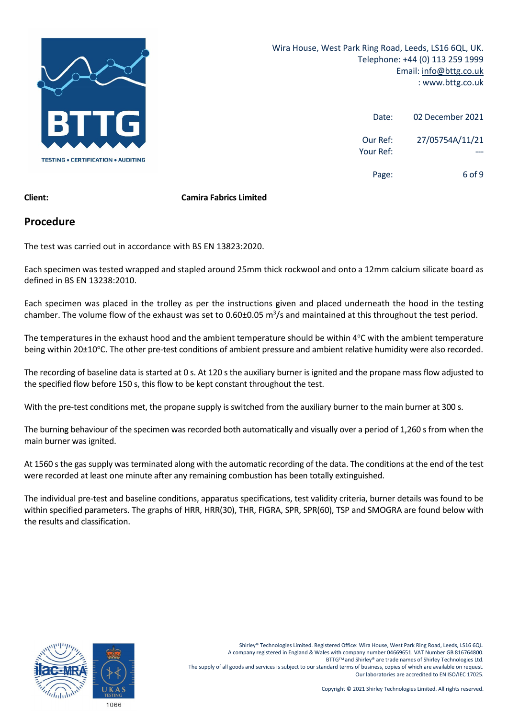

| 02 December 2021 | Date:                 |
|------------------|-----------------------|
| 27/05754A/11/21  | Our Ref:<br>Your Ref: |
| 6 of 9           | Page:                 |

### **Procedure**

The test was carried out in accordance with BS EN 13823:2020.

Each specimen was tested wrapped and stapled around 25mm thick rockwool and onto a 12mm calcium silicate board as defined in BS EN 13238:2010.

Each specimen was placed in the trolley as per the instructions given and placed underneath the hood in the testing chamber. The volume flow of the exhaust was set to 0.60±0.05  $m^3/s$  and maintained at this throughout the test period.

The temperatures in the exhaust hood and the ambient temperature should be within 4°C with the ambient temperature being within 20±10°C. The other pre-test conditions of ambient pressure and ambient relative humidity were also recorded.

The recording of baseline data is started at 0 s. At 120 s the auxiliary burner is ignited and the propane mass flow adjusted to the specified flow before 150 s, this flow to be kept constant throughout the test.

With the pre-test conditions met, the propane supply is switched from the auxiliary burner to the main burner at 300 s.

The burning behaviour of the specimen was recorded both automatically and visually over a period of 1,260 s from when the main burner was ignited.

At 1560 s the gas supply was terminated along with the automatic recording of the data. The conditions at the end of the test were recorded at least one minute after any remaining combustion has been totally extinguished.

The individual pre‐test and baseline conditions, apparatus specifications, test validity criteria, burner details was found to be within specified parameters. The graphs of HRR, HRR(30), THR, FIGRA, SPR, SPR(60), TSP and SMOGRA are found below with the results and classification.

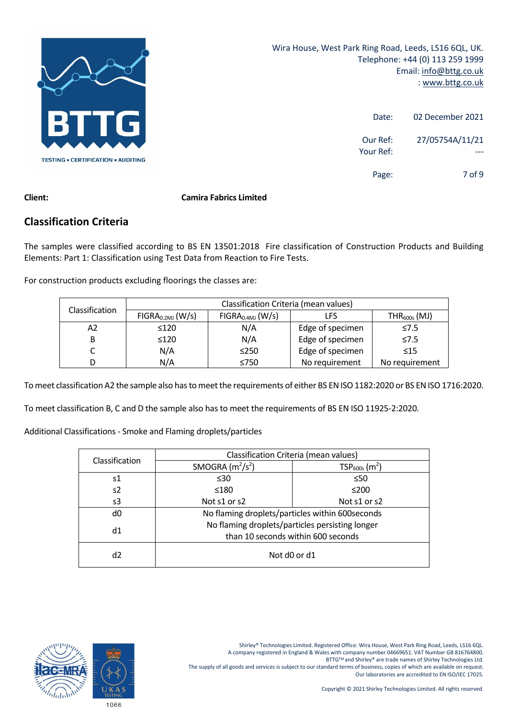

| 02 December 2021 | Date:                 |
|------------------|-----------------------|
| 27/05754A/11/21  | Our Ref:<br>Your Ref: |
| 7 of 9           | Page:                 |

## **Classification Criteria**

The samples were classified according to BS EN 13501:2018 Fire classification of Construction Products and Building Elements: Part 1: Classification using Test Data from Reaction to Fire Tests.

For construction products excluding floorings the classes are:

| Classification Criteria (mean values)                                                        |            |            |                  |                   |
|----------------------------------------------------------------------------------------------|------------|------------|------------------|-------------------|
| Classification<br>FIGRA <sub>0.4MJ</sub> (W/s)<br>FIGRA <sub>0.2MJ</sub> (W/s)<br><b>LFS</b> |            |            |                  | $THR_{600s}$ (MJ) |
| А2                                                                                           | $\leq 120$ | N/A        | Edge of specimen | $\leq 7.5$        |
| В                                                                                            | $\leq 120$ | N/A        | Edge of specimen | $\leq 7.5$        |
|                                                                                              | N/A        | $\leq$ 250 | Edge of specimen | $\leq 15$         |
| D                                                                                            | N/A        | ≤750       | No requirement   | No requirement    |

To meet classification A2 the sample also has to meet the requirements of either BS EN ISO 1182:2020 or BS EN ISO 1716:2020.

To meet classification B, C and D the sample also has to meet the requirements of BS EN ISO 11925‐2:2020.

Additional Classifications ‐ Smoke and Flaming droplets/particles

| Classification | Classification Criteria (mean values) |                                                  |  |
|----------------|---------------------------------------|--------------------------------------------------|--|
|                | SMOGRA $(m^2/s^2)$                    | $TSP600s$ (m <sup>2</sup> )                      |  |
| s1             | $\leq 30$                             | $\leq 50$                                        |  |
| s2             | ≤180                                  | $≤200$                                           |  |
| s3             | Not s1 or s2                          | Not s1 or s2                                     |  |
| d0             |                                       | No flaming droplets/particles within 600 seconds |  |
| d1             |                                       | No flaming droplets/particles persisting longer  |  |
|                | than 10 seconds within 600 seconds    |                                                  |  |
| d2             | Not d0 or d1                          |                                                  |  |

Shirley® Technologies Limited. Registered Office: Wira House, West Park Ring Road, Leeds, LS16 6QL. A company registered in England & Wales with company number 04669651. VAT Number GB 816764800.

BTTG™ and Shirley® are trade names of Shirley Technologies Ltd.

The supply of all goods and services is subject to our standard terms of business, copies of which are available on request. Our laboratories are accredited to EN ISO/IEC 17025.

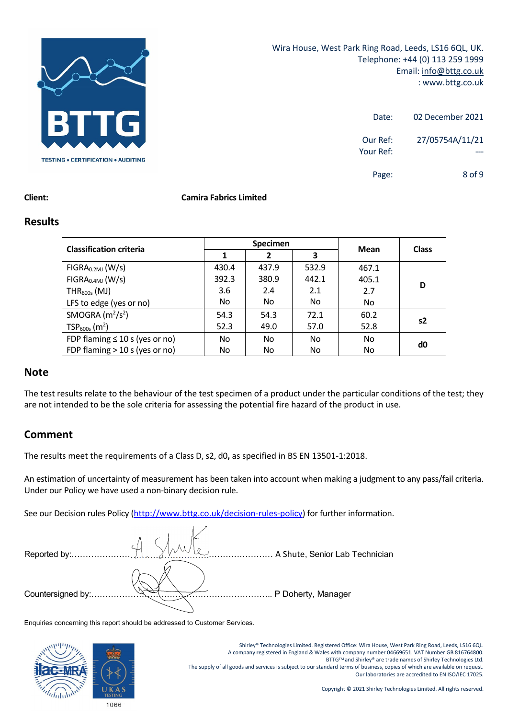

Wira House, West Park Ring Road, Leeds, LS16 6QL, UK. Telephone: +44 (0) 113 259 1999 Email: info@bttg.co.uk : www.bttg.co.uk

| 02 December 2021              | Date:                 |
|-------------------------------|-----------------------|
| 27/05754A/11/21               | Our Ref:<br>Your Ref: |
| 8 <sub>0</sub> f <sub>9</sub> | Page:                 |

#### **Client: Camira Fabrics Limited**

#### **Results**

| <b>Classification criteria</b>      | <b>Specimen</b> |       |       | Mean  | <b>Class</b> |
|-------------------------------------|-----------------|-------|-------|-------|--------------|
|                                     |                 | 2     | 3     |       |              |
| FIGRA <sub>0.2MJ</sub> (W/s)        | 430.4           | 437.9 | 532.9 | 467.1 |              |
| FIGRA <sub>0.4MJ</sub> (W/s)        | 392.3           | 380.9 | 442.1 | 405.1 | D            |
| $THR600s$ (MJ)                      | 3.6             | 2.4   | 2.1   | 2.7   |              |
| LFS to edge (yes or no)             | No.             | No    | No.   | No.   |              |
| SMOGRA $(m^2/s^2)$                  | 54.3            | 54.3  | 72.1  | 60.2  | s2           |
| $TSP600s$ (m <sup>2</sup> )         | 52.3            | 49.0  | 57.0  | 52.8  |              |
| FDP flaming $\leq 10$ s (yes or no) | No.             | No    | No.   | No.   | d0           |
| FDP flaming $>$ 10 s (yes or no)    | No              | No    | No    | No    |              |

#### **Note**

The test results relate to the behaviour of the test specimen of a product under the particular conditions of the test; they are not intended to be the sole criteria for assessing the potential fire hazard of the product in use.

### **Comment**

The results meet the requirements of a Class D, s2, d0**,** as specified in BS EN 13501‐1:2018.

An estimation of uncertainty of measurement has been taken into account when making a judgment to any pass/fail criteria. Under our Policy we have used a non‐binary decision rule.

See our Decision rules Policy (http://www.bttg.co.uk/decision-rules-policy) for further information.

| Reported by:      | A Shute, Senior Lab Technician |
|-------------------|--------------------------------|
|                   |                                |
| Countersigned by: | P Doherty, Manager             |

Enquiries concerning this report should be addressed to Customer Services.